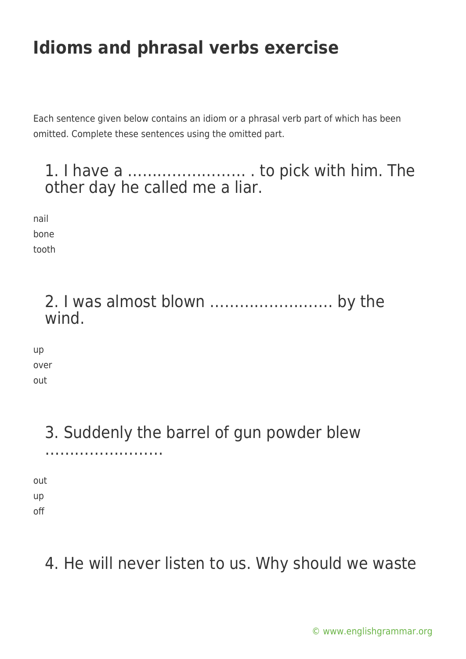Each sentence given below contains an idiom or a phrasal verb part of which has been omitted. Complete these sentences using the omitted part.

#### 1. I have a …………………… . to pick with him. The other day he called me a liar.

nail bone tooth

> 2. I was almost blown ……………………. by the wind.

up over out

# 3. Suddenly the barrel of gun powder blew

out up off

……………………

### 4. He will never listen to us. Why should we waste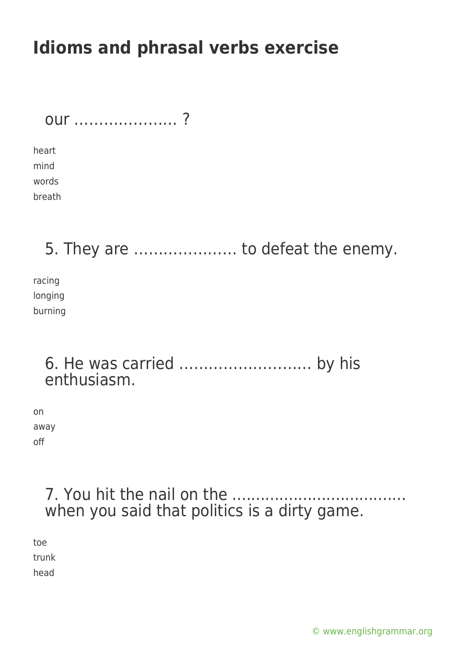| OUI ? |  |  |  |  |  |  |  |  |  |  |  |
|-------|--|--|--|--|--|--|--|--|--|--|--|
|       |  |  |  |  |  |  |  |  |  |  |  |

heart mind words breath

### 5. They are ………………… to defeat the enemy.

racing longing burning

#### 6. He was carried ……………………… by his enthusiasm.

on away off

#### 7. You hit the nail on the ..................................... when you said that politics is a dirty game.

toe trunk head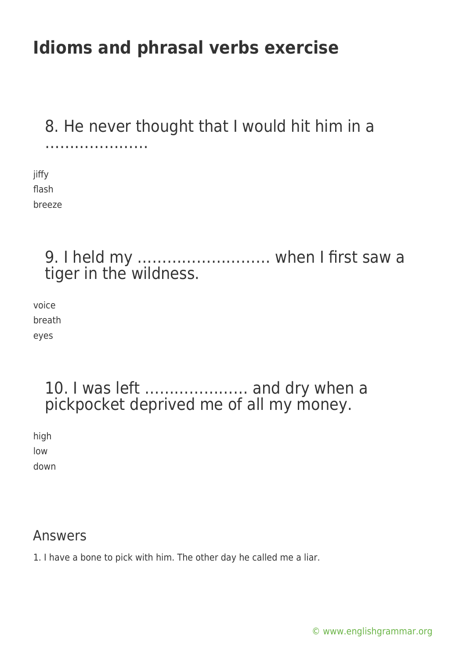#### 8. He never thought that I would hit him in a ………………………………

jiffy flash breeze

### 9. I held my ……………………… when I first saw a tiger in the wildness.

voice breath eyes

### 10. I was left ………………… and dry when a pickpocket deprived me of all my money.

high low

down

#### Answers

1. I have a bone to pick with him. The other day he called me a liar.